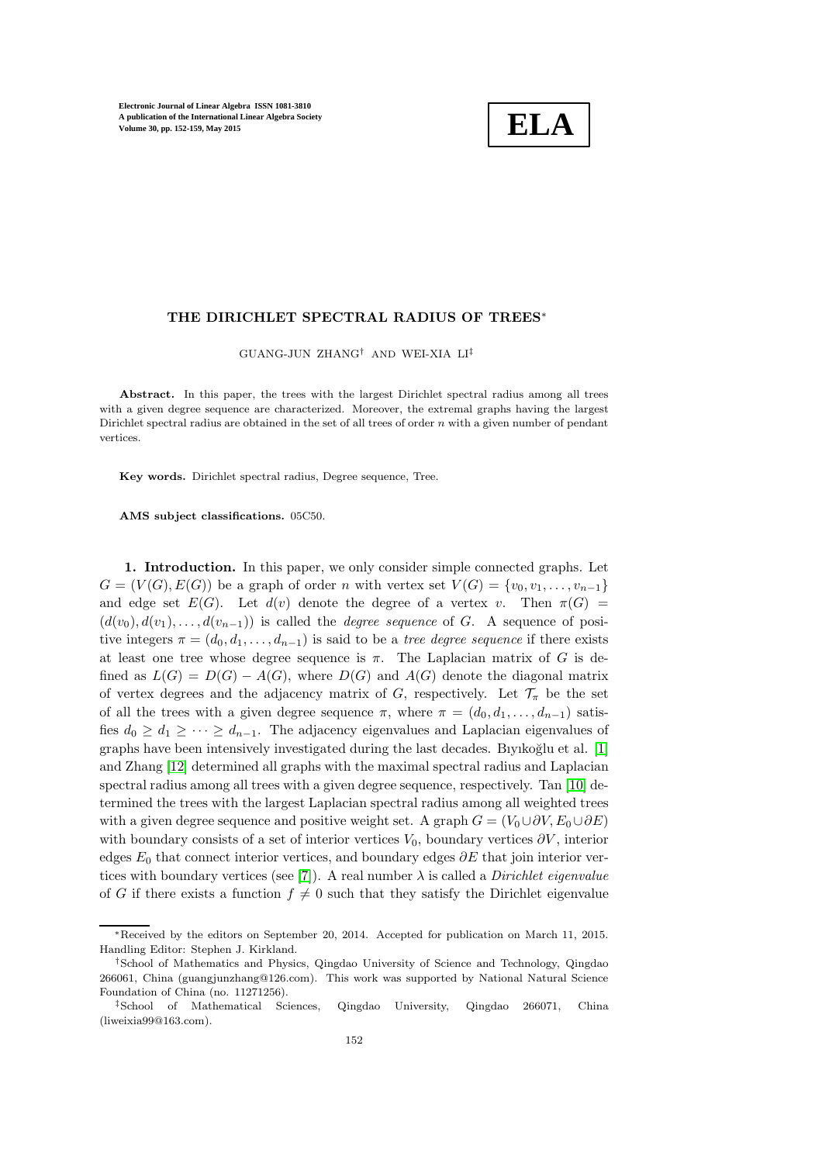

# THE DIRICHLET SPECTRAL RADIUS OF TREES∗

GUANG-JUN ZHANG† AND WEI-XIA LI‡

Abstract. In this paper, the trees with the largest Dirichlet spectral radius among all trees with a given degree sequence are characterized. Moreover, the extremal graphs having the largest Dirichlet spectral radius are obtained in the set of all trees of order n with a given number of pendant vertices.

Key words. Dirichlet spectral radius, Degree sequence, Tree.

AMS subject classifications. 05C50.

1. Introduction. In this paper, we only consider simple connected graphs. Let  $G = (V(G), E(G))$  be a graph of order n with vertex set  $V(G) = \{v_0, v_1, \ldots, v_{n-1}\}\$ and edge set  $E(G)$ . Let  $d(v)$  denote the degree of a vertex v. Then  $\pi(G)$  =  $(d(v_0), d(v_1), \ldots, d(v_{n-1}))$  is called the *degree sequence* of G. A sequence of positive integers  $\pi = (d_0, d_1, \ldots, d_{n-1})$  is said to be a tree degree sequence if there exists at least one tree whose degree sequence is  $\pi$ . The Laplacian matrix of G is defined as  $L(G) = D(G) - A(G)$ , where  $D(G)$  and  $A(G)$  denote the diagonal matrix of vertex degrees and the adjacency matrix of G, respectively. Let  $\mathcal{T}_{\pi}$  be the set of all the trees with a given degree sequence  $\pi$ , where  $\pi = (d_0, d_1, \ldots, d_{n-1})$  satisfies  $d_0 \geq d_1 \geq \cdots \geq d_{n-1}$ . The adjacency eigenvalues and Laplacian eigenvalues of graphs have been intensively investigated during the last decades. Biyikoğlu et al.  $[1]$ and Zhang [\[12\]](#page-7-1) determined all graphs with the maximal spectral radius and Laplacian spectral radius among all trees with a given degree sequence, respectively. Tan [\[10\]](#page-7-2) determined the trees with the largest Laplacian spectral radius among all weighted trees with a given degree sequence and positive weight set. A graph  $G = (V_0 \cup \partial V, E_0 \cup \partial E)$ with boundary consists of a set of interior vertices  $V_0$ , boundary vertices  $\partial V$ , interior edges  $E_0$  that connect interior vertices, and boundary edges  $\partial E$  that join interior ver-tices with boundary vertices (see [\[7\]](#page-7-3)). A real number  $\lambda$  is called a *Dirichlet eigenvalue* of G if there exists a function  $f \neq 0$  such that they satisfy the Dirichlet eigenvalue

<sup>∗</sup>Received by the editors on September 20, 2014. Accepted for publication on March 11, 2015. Handling Editor: Stephen J. Kirkland.

<sup>†</sup>School of Mathematics and Physics, Qingdao University of Science and Technology, Qingdao 266061, China (guangjunzhang@126.com). This work was supported by National Natural Science Foundation of China (no. 11271256).

<sup>‡</sup>School of Mathematical Sciences, Qingdao University, Qingdao 266071, China (liweixia99@163.com).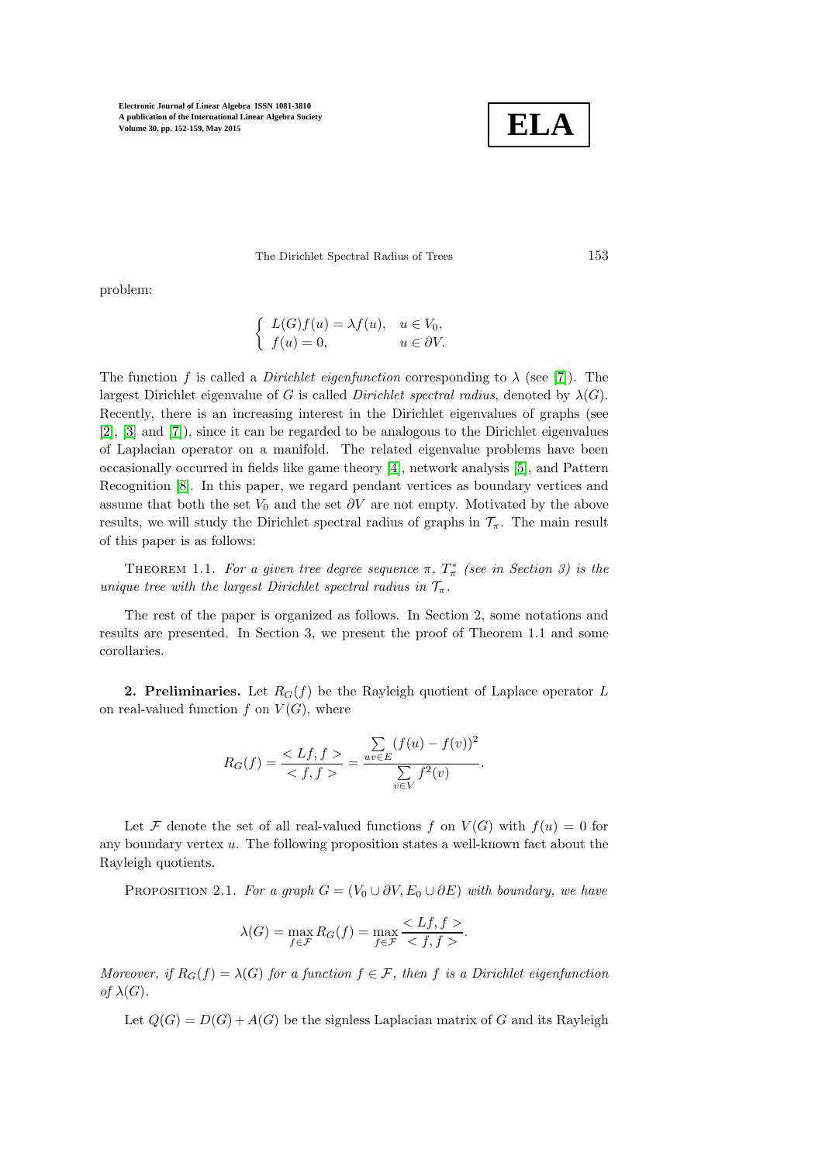

The Dirichlet Spectral Radius of Trees 153

problem:

$$
\begin{cases}\nL(G)f(u) = \lambda f(u), & u \in V_0, \\
f(u) = 0, & u \in \partial V.\n\end{cases}
$$

The function f is called a *Dirichlet eigenfunction* corresponding to  $\lambda$  (see [\[7\]](#page-7-3)). The largest Dirichlet eigenvalue of G is called Dirichlet spectral radius, denoted by  $\lambda(G)$ . Recently, there is an increasing interest in the Dirichlet eigenvalues of graphs (see [\[2\]](#page-7-4), [\[3\]](#page-7-5) and [\[7\]](#page-7-3)), since it can be regarded to be analogous to the Dirichlet eigenvalues of Laplacian operator on a manifold. The related eigenvalue problems have been occasionally occurred in fields like game theory [\[4\]](#page-7-6), network analysis [\[5\]](#page-7-7), and Pattern Recognition [\[8\]](#page-7-8). In this paper, we regard pendant vertices as boundary vertices and assume that both the set  $V_0$  and the set  $\partial V$  are not empty. Motivated by the above results, we will study the Dirichlet spectral radius of graphs in  $\mathcal{T}_{\pi}$ . The main result of this paper is as follows:

THEOREM 1.1. For a given tree degree sequence  $\pi$ ,  $T^*_{\pi}$  (see in Section 3) is the unique tree with the largest Dirichlet spectral radius in  $\mathcal{T}_{\pi}$ .

The rest of the paper is organized as follows. In Section 2, some notations and results are presented. In Section 3, we present the proof of Theorem 1.1 and some corollaries.

**2. Preliminaries.** Let  $R_G(f)$  be the Rayleigh quotient of Laplace operator L on real-valued function f on  $V(G)$ , where

$$
R_G(f) = \frac{< Lf, f>}{< f, f>} = \frac{\sum_{uv \in E} (f(u) - f(v))^2}{\sum_{v \in V} f^2(v)}.
$$

Let F denote the set of all real-valued functions f on  $V(G)$  with  $f(u) = 0$  for any boundary vertex  $u$ . The following proposition states a well-known fact about the Rayleigh quotients.

PROPOSITION 2.1. For a graph  $G = (V_0 \cup \partial V, E_0 \cup \partial E)$  with boundary, we have

$$
\lambda(G) = \max_{f \in \mathcal{F}} R_G(f) = \max_{f \in \mathcal{F}} \frac{< Lf, f>}{< f, f>}.
$$

Moreover, if  $R_G(f) = \lambda(G)$  for a function  $f \in \mathcal{F}$ , then f is a Dirichlet eigenfunction of  $\lambda(G)$ .

Let  $Q(G) = D(G) + A(G)$  be the signless Laplacian matrix of G and its Rayleigh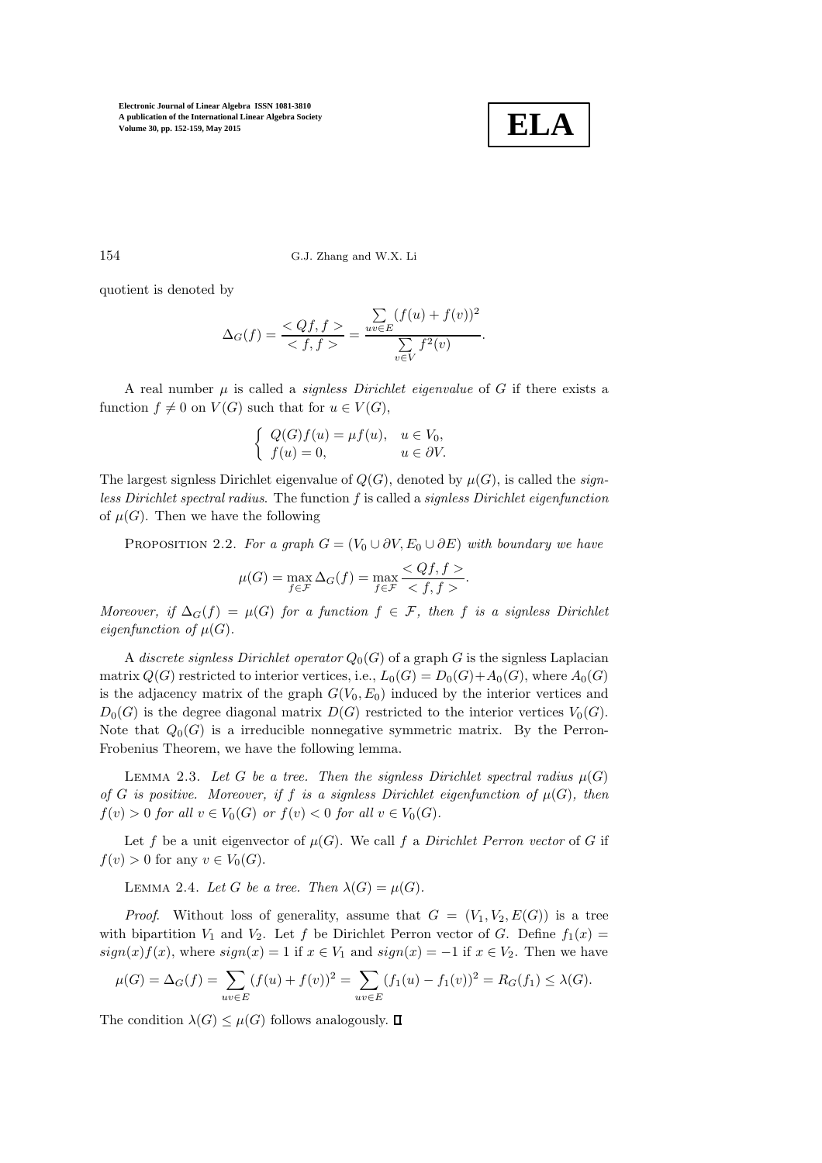

154 G.J. Zhang and W.X. Li

quotient is denoted by

$$
\Delta_G(f) = \frac{Qf, f}{\langle f, f \rangle} = \frac{\sum_{uv \in E} (f(u) + f(v))^2}{\sum_{v \in V} f^2(v)}.
$$

A real number  $\mu$  is called a *signless Dirichlet eigenvalue* of G if there exists a function  $f \neq 0$  on  $V(G)$  such that for  $u \in V(G)$ ,

$$
\begin{cases}\nQ(G)f(u) = \mu f(u), & u \in V_0, \\
f(u) = 0, & u \in \partial V.\n\end{cases}
$$

The largest signless Dirichlet eigenvalue of  $Q(G)$ , denoted by  $\mu(G)$ , is called the *sign*less Dirichlet spectral radius. The function f is called a signless Dirichlet eigenfunction of  $\mu(G)$ . Then we have the following

PROPOSITION 2.2. For a graph  $G = (V_0 \cup \partial V, E_0 \cup \partial E)$  with boundary we have

$$
\mu(G) = \max_{f \in \mathcal{F}} \Delta_G(f) = \max_{f \in \mathcal{F}} \frac{< Qf, f>}{< f, f>}.
$$

Moreover, if  $\Delta_G(f) = \mu(G)$  for a function  $f \in \mathcal{F}$ , then f is a signless Dirichlet eigenfunction of  $\mu(G)$ .

A discrete signless Dirichlet operator  $Q_0(G)$  of a graph G is the signless Laplacian matrix  $Q(G)$  restricted to interior vertices, i.e.,  $L_0(G) = D_0(G) + A_0(G)$ , where  $A_0(G)$ is the adjacency matrix of the graph  $G(V_0, E_0)$  induced by the interior vertices and  $D_0(G)$  is the degree diagonal matrix  $D(G)$  restricted to the interior vertices  $V_0(G)$ . Note that  $Q_0(G)$  is a irreducible nonnegative symmetric matrix. By the Perron-Frobenius Theorem, we have the following lemma.

LEMMA 2.3. Let G be a tree. Then the signless Dirichlet spectral radius  $\mu(G)$ of G is positive. Moreover, if f is a signless Dirichlet eigenfunction of  $\mu(G)$ , then  $f(v) > 0$  for all  $v \in V_0(G)$  or  $f(v) < 0$  for all  $v \in V_0(G)$ .

Let f be a unit eigenvector of  $\mu(G)$ . We call f a Dirichlet Perron vector of G if  $f(v) > 0$  for any  $v \in V_0(G)$ .

LEMMA 2.4. Let G be a tree. Then  $\lambda(G) = \mu(G)$ .

*Proof.* Without loss of generality, assume that  $G = (V_1, V_2, E(G))$  is a tree with bipartition  $V_1$  and  $V_2$ . Let f be Dirichlet Perron vector of G. Define  $f_1(x)$  $sign(x)f(x)$ , where  $sign(x) = 1$  if  $x \in V_1$  and  $sign(x) = -1$  if  $x \in V_2$ . Then we have

$$
\mu(G) = \Delta_G(f) = \sum_{uv \in E} (f(u) + f(v))^2 = \sum_{uv \in E} (f_1(u) - f_1(v))^2 = R_G(f_1) \le \lambda(G).
$$

The condition  $\lambda(G) \leq \mu(G)$  follows analogously.  $\Box$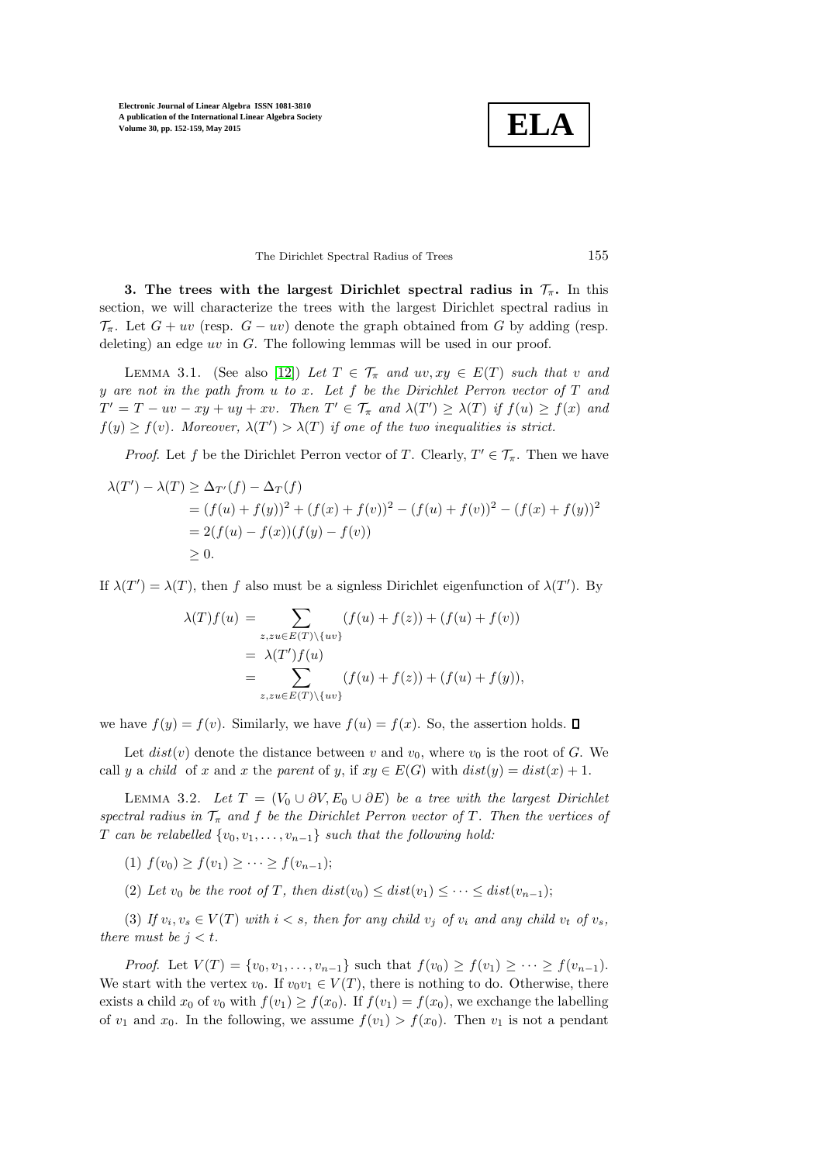

The Dirichlet Spectral Radius of Trees 155

3. The trees with the largest Dirichlet spectral radius in  $\mathcal{T}_{\pi}$ . In this section, we will characterize the trees with the largest Dirichlet spectral radius in  $\mathcal{T}_{\pi}$ . Let  $G + uv$  (resp.  $G - uv$ ) denote the graph obtained from G by adding (resp. deleting) an edge uv in  $G$ . The following lemmas will be used in our proof.

<span id="page-3-0"></span>LEMMA 3.1. (See also [\[12\]](#page-7-1)) Let  $T \in \mathcal{T}_{\pi}$  and  $uv, xy \in E(T)$  such that v and y are not in the path from u to x. Let f be the Dirichlet Perron vector of  $T$  and  $T' = T - uv - xy + uy + xv$ . Then  $T' \in \mathcal{T}_{\pi}$  and  $\lambda(T') \geq \lambda(T)$  if  $f(u) \geq f(x)$  and  $f(y) \ge f(v)$ . Moreover,  $\lambda(T') > \lambda(T)$  if one of the two inequalities is strict.

*Proof.* Let f be the Dirichlet Perron vector of T. Clearly,  $T' \in \mathcal{T}_{\pi}$ . Then we have

$$
\lambda(T') - \lambda(T) \ge \Delta_{T'}(f) - \Delta_T(f)
$$
  
=  $(f(u) + f(y))^2 + (f(x) + f(v))^2 - (f(u) + f(v))^2 - (f(x) + f(y))^2$   
=  $2(f(u) - f(x))(f(y) - f(v))$   
 $\ge 0.$ 

If  $\lambda(T') = \lambda(T)$ , then f also must be a signless Dirichlet eigenfunction of  $\lambda(T')$ . By

$$
\lambda(T)f(u) = \sum_{z,zu \in E(T) \setminus \{uv\}} (f(u) + f(z)) + (f(u) + f(v))
$$
  
=  $\lambda(T')f(u)$   
=  $\sum_{z,zu \in E(T) \setminus \{uv\}} (f(u) + f(z)) + (f(u) + f(y)),$ 

we have  $f(y) = f(v)$ . Similarly, we have  $f(u) = f(x)$ . So, the assertion holds.  $\square$ 

<span id="page-3-1"></span>Let  $dist(v)$  denote the distance between v and  $v_0$ , where  $v_0$  is the root of G. We call y a child of x and x the parent of y, if  $xy \in E(G)$  with  $dist(y) = dist(x) + 1$ .

LEMMA 3.2. Let  $T = (V_0 \cup \partial V, E_0 \cup \partial E)$  be a tree with the largest Dirichlet spectral radius in  $\mathcal{T}_{\pi}$  and f be the Dirichlet Perron vector of T. Then the vertices of T can be relabelled  $\{v_0, v_1, \ldots, v_{n-1}\}$  such that the following hold:

(1)  $f(v_0) \ge f(v_1) \ge \cdots \ge f(v_{n-1});$ 

(2) Let  $v_0$  be the root of T, then  $dist(v_0) \leq dist(v_1) \leq \cdots \leq dist(v_{n-1});$ 

(3) If  $v_i, v_s \in V(T)$  with  $i < s$ , then for any child  $v_j$  of  $v_i$  and any child  $v_t$  of  $v_s$ , there must be  $j < t$ .

*Proof.* Let  $V(T) = \{v_0, v_1, \ldots, v_{n-1}\}\$  such that  $f(v_0) \ge f(v_1) \ge \cdots \ge f(v_{n-1})\$ . We start with the vertex  $v_0$ . If  $v_0v_1 \in V(T)$ , there is nothing to do. Otherwise, there exists a child  $x_0$  of  $v_0$  with  $f(v_1) \ge f(x_0)$ . If  $f(v_1) = f(x_0)$ , we exchange the labelling of  $v_1$  and  $x_0$ . In the following, we assume  $f(v_1) > f(x_0)$ . Then  $v_1$  is not a pendant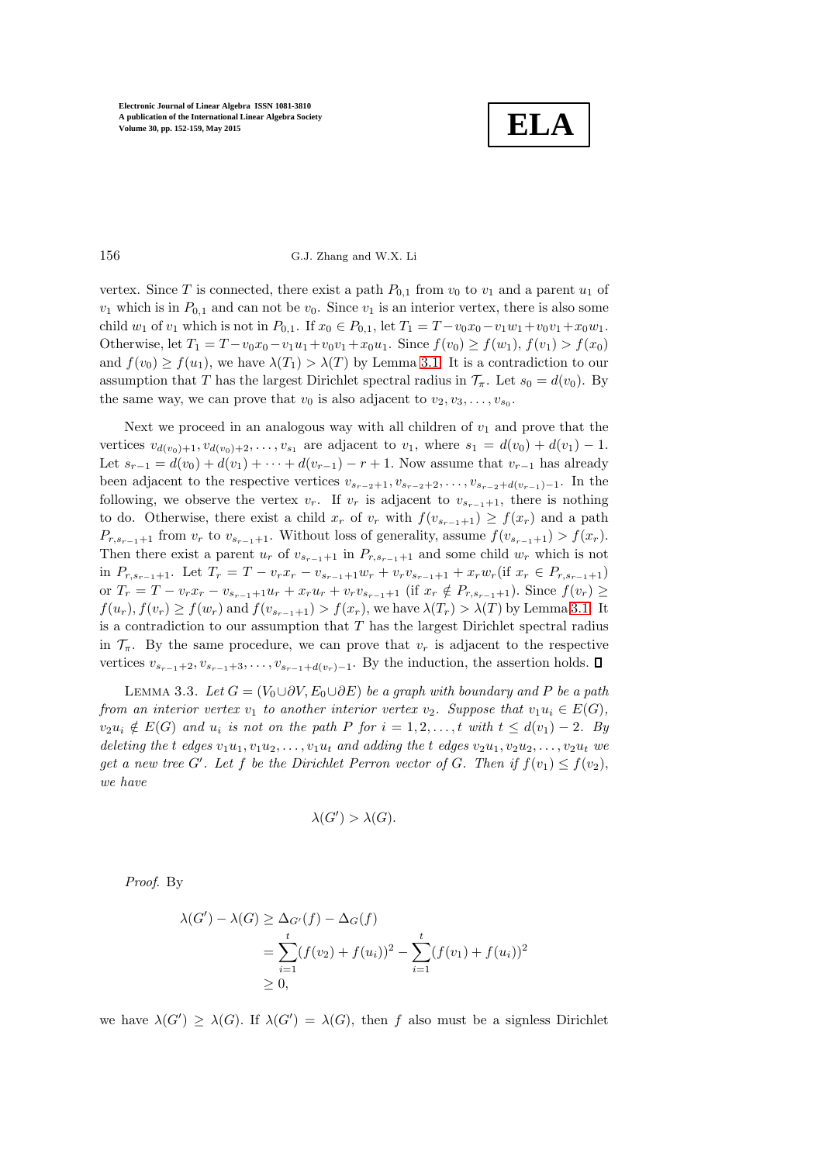

### 156 G.J. Zhang and W.X. Li

vertex. Since T is connected, there exist a path  $P_{0,1}$  from  $v_0$  to  $v_1$  and a parent  $u_1$  of  $v_1$  which is in  $P_{0,1}$  and can not be  $v_0$ . Since  $v_1$  is an interior vertex, there is also some child  $w_1$  of  $v_1$  which is not in  $P_{0,1}$ . If  $x_0 \in P_{0,1}$ , let  $T_1 = T - v_0 x_0 - v_1 w_1 + v_0 v_1 + x_0 w_1$ . Otherwise, let  $T_1 = T - v_0x_0 - v_1u_1 + v_0v_1 + x_0u_1$ . Since  $f(v_0) \ge f(w_1)$ ,  $f(v_1) > f(x_0)$ and  $f(v_0) \ge f(u_1)$ , we have  $\lambda(T_1) > \lambda(T)$  by Lemma [3.1.](#page-3-0) It is a contradiction to our assumption that T has the largest Dirichlet spectral radius in  $\mathcal{T}_{\pi}$ . Let  $s_0 = d(v_0)$ . By the same way, we can prove that  $v_0$  is also adjacent to  $v_2, v_3, \ldots, v_{s_0}$ .

Next we proceed in an analogous way with all children of  $v_1$  and prove that the vertices  $v_{d(v_0)+1}, v_{d(v_0)+2}, \ldots, v_{s_1}$  are adjacent to  $v_1$ , where  $s_1 = d(v_0) + d(v_1) - 1$ . Let  $s_{r-1} = d(v_0) + d(v_1) + \cdots + d(v_{r-1}) - r + 1$ . Now assume that  $v_{r-1}$  has already been adjacent to the respective vertices  $v_{s_{r-2}+1}, v_{s_{r-2}+2}, \ldots, v_{s_{r-2}+d(v_{r-1})-1}$ . In the following, we observe the vertex  $v_r$ . If  $v_r$  is adjacent to  $v_{s_{r-1}+1}$ , there is nothing to do. Otherwise, there exist a child  $x_r$  of  $v_r$  with  $f(v_{s_{r-1}+1}) \geq f(x_r)$  and a path  $P_{r,s_{r-1}+1}$  from  $v_r$  to  $v_{s_{r-1}+1}$ . Without loss of generality, assume  $f(v_{s_{r-1}+1}) > f(x_r)$ . Then there exist a parent  $u_r$  of  $v_{s_{r-1}+1}$  in  $P_{r,s_{r-1}+1}$  and some child  $w_r$  which is not in  $P_{r,s_{r-1}+1}$ . Let  $T_r = T - v_r x_r - v_{s_{r-1}+1}w_r + v_r v_{s_{r-1}+1} + x_r w_r$  (if  $x_r \in P_{r,s_{r-1}+1}$ ) or  $T_r = T - v_r x_r - v_{s_{r-1}+1} u_r + x_r u_r + v_r v_{s_{r-1}+1}$  (if  $x_r \notin P_{r,s_{r-1}+1}$ ). Since  $f(v_r) \ge$  $f(u_r), f(v_r) \ge f(w_r)$  and  $f(v_{s_{r-1}+1}) > f(x_r)$ , we have  $\lambda(T_r) > \lambda(T)$  by Lemma [3.1.](#page-3-0) It is a contradiction to our assumption that  $T$  has the largest Dirichlet spectral radius in  $\mathcal{T}_{\pi}$ . By the same procedure, we can prove that  $v_r$  is adjacent to the respective vertices  $v_{s_{r-1}+2}, v_{s_{r-1}+3}, \ldots, v_{s_{r-1}+d(v_r)-1}$ . By the induction, the assertion holds.  $\square$ 

<span id="page-4-0"></span>LEMMA 3.3. Let  $G = (V_0 \cup \partial V, E_0 \cup \partial E)$  be a graph with boundary and P be a path from an interior vertex  $v_1$  to another interior vertex  $v_2$ . Suppose that  $v_1u_i \in E(G)$ ,  $v_2u_i \notin E(G)$  and  $u_i$  is not on the path P for  $i = 1, 2, \ldots, t$  with  $t \leq d(v_1) - 2$ . By deleting the t edges  $v_1u_1, v_1u_2, \ldots, v_1u_t$  and adding the t edges  $v_2u_1, v_2u_2, \ldots, v_2u_t$  we get a new tree G'. Let f be the Dirichlet Perron vector of G. Then if  $f(v_1) \leq f(v_2)$ , we have

$$
\lambda(G') > \lambda(G).
$$

Proof. By

$$
\lambda(G') - \lambda(G) \geq \Delta_{G'}(f) - \Delta_G(f)
$$
  
= 
$$
\sum_{i=1}^t (f(v_2) + f(u_i))^2 - \sum_{i=1}^t (f(v_1) + f(u_i))^2
$$
  

$$
\geq 0,
$$

we have  $\lambda(G') \geq \lambda(G)$ . If  $\lambda(G') = \lambda(G)$ , then f also must be a signless Dirichlet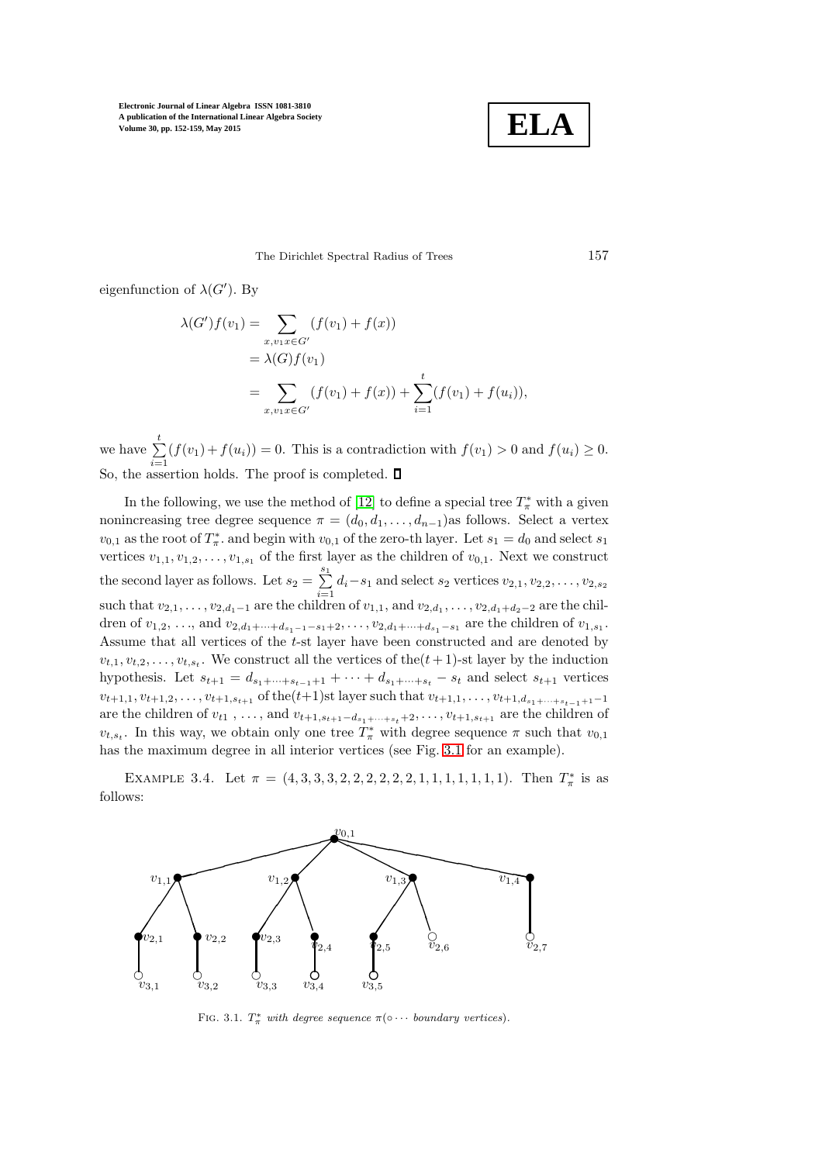

The Dirichlet Spectral Radius of Trees 157

eigenfunction of  $\lambda(G')$ . By

$$
\lambda(G')f(v_1) = \sum_{x,v_1x \in G'} (f(v_1) + f(x))
$$
  
=  $\lambda(G)f(v_1)$   
=  $\sum_{x,v_1x \in G'} (f(v_1) + f(x)) + \sum_{i=1}^t (f(v_1) + f(u_i)),$ 

we have  $\sum_{i=1}^{t} (f(v_1) + f(u_i)) = 0$ . This is a contradiction with  $f(v_1) > 0$  and  $f(u_i) \geq 0$ . So, the assertion holds. The proof is completed.

In the following, we use the method of [\[12\]](#page-7-1) to define a special tree  $T^*_\pi$  with a given nonincreasing tree degree sequence  $\pi = (d_0, d_1, \ldots, d_{n-1})$ as follows. Select a vertex  $v_{0,1}$  as the root of  $T^*_{\pi}$ , and begin with  $v_{0,1}$  of the zero-th layer. Let  $s_1 = d_0$  and select  $s_1$ vertices  $v_{1,1}, v_{1,2}, \ldots, v_{1,s_1}$  of the first layer as the children of  $v_{0,1}$ . Next we construct the second layer as follows. Let  $s_2 = \sum_{n=1}^{s_1}$  $\sum_{i=1} d_i - s_1$  and select  $s_2$  vertices  $v_{2,1}, v_{2,2}, \ldots, v_{2,s_2}$ such that  $v_{2,1}, \ldots, v_{2,d_1-1}$  are the children of  $v_{1,1}$ , and  $v_{2,d_1}, \ldots, v_{2,d_1+d_2-2}$  are the children of  $v_{1,2}, \ldots$ , and  $v_{2,d_1+\cdots+d_{s_1-1}-s_1+2}, \ldots, v_{2,d_1+\cdots+d_{s_1}-s_1}$  are the children of  $v_{1,s_1}$ . Assume that all vertices of the t-st layer have been constructed and are denoted by  $v_{t,1}, v_{t,2}, \ldots, v_{t,s_t}$ . We construct all the vertices of the  $(t+1)$ -st layer by the induction hypothesis. Let  $s_{t+1} = d_{s_1+\cdots+s_{t-1}+1} + \cdots + d_{s_1+\cdots+s_t} - s_t$  and select  $s_{t+1}$  vertices  $v_{t+1,1}, v_{t+1,2}, \ldots, v_{t+1,s_{t+1}}$  of the $(t+1)$ st layer such that  $v_{t+1,1}, \ldots, v_{t+1,d_{s+1}+\cdots+s_{t-1}+1}-1$ are the children of  $v_{t1}$ , ..., and  $v_{t+1,s_{t+1}-d_{s_1+\cdots+s_t}+2},\ldots,v_{t+1,s_{t+1}}$  are the children of  $v_{t,s_t}$ . In this way, we obtain only one tree  $T^*_{\pi}$  with degree sequence  $\pi$  such that  $v_{0,1}$ has the maximum degree in all interior vertices (see Fig. [3.1](#page-5-0) for an example).

EXAMPLE 3.4. Let  $\pi = (4, 3, 3, 3, 2, 2, 2, 2, 2, 2, 1, 1, 1, 1, 1, 1, 1).$  Then  $T^*_{\pi}$  is as follows:



<span id="page-5-0"></span>FIG. 3.1.  $T^*_{\pi}$  with degree sequence  $\pi(\circ \cdots$  boundary vertices).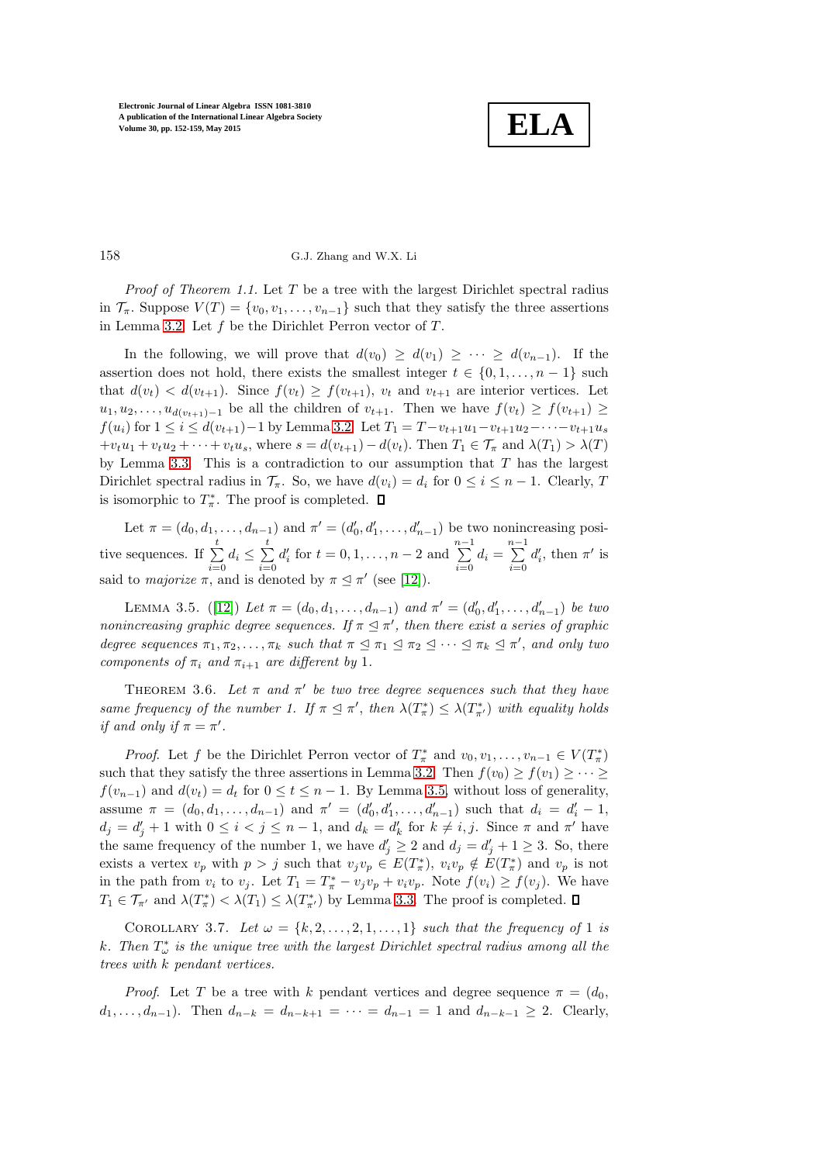

# 158 G.J. Zhang and W.X. Li

*Proof of Theorem 1.1.* Let  $T$  be a tree with the largest Dirichlet spectral radius in  $\mathcal{T}_{\pi}$ . Suppose  $V(T) = \{v_0, v_1, \ldots, v_{n-1}\}\$  such that they satisfy the three assertions in Lemma [3.2.](#page-3-1) Let  $f$  be the Dirichlet Perron vector of  $T$ .

In the following, we will prove that  $d(v_0) \geq d(v_1) \geq \cdots \geq d(v_{n-1})$ . If the assertion does not hold, there exists the smallest integer  $t \in \{0, 1, ..., n-1\}$  such that  $d(v_t) < d(v_{t+1})$ . Since  $f(v_t) \ge f(v_{t+1})$ ,  $v_t$  and  $v_{t+1}$  are interior vertices. Let  $u_1, u_2, \ldots, u_{d(v_{t+1})-1}$  be all the children of  $v_{t+1}$ . Then we have  $f(v_t) \ge f(v_{t+1}) \ge$  $f(u_i)$  for  $1 \leq i \leq d(v_{t+1})-1$  by Lemma [3.2.](#page-3-1) Let  $T_1 = T - v_{t+1}u_1-v_{t+1}u_2-\cdots-v_{t+1}u_s$  $+v_tu_1+v_tu_2+\cdots+v_tu_s$ , where  $s=d(v_{t+1})-d(v_t)$ . Then  $T_1\in\mathcal{T}_{\pi}$  and  $\lambda(T_1)>\lambda(T)$ by Lemma [3.3.](#page-4-0) This is a contradiction to our assumption that  $T$  has the largest Dirichlet spectral radius in  $\mathcal{T}_{\pi}$ . So, we have  $d(v_i) = d_i$  for  $0 \leq i \leq n-1$ . Clearly, T is isomorphic to  $T^*_{\pi}$ . The proof is completed.

Let  $\pi = (d_0, d_1, \ldots, d_{n-1})$  and  $\pi' = (d'_0, d'_1, \ldots, d'_{n-1})$  be two nonincreasing posi-Let  $n = (a_0, a_1, \ldots, a_{n-1})$  and  $n = (a_0, a_1, \ldots, a_{n-1})$ <br>tive sequences. If  $\sum_{i=1}^{t} d_i \leq \sum_{i=1}^{t} d_i'$  for  $t = 0, 1, \ldots, n-2$  and  $\sum_{i=0}^t d_i \leq \sum_{i=0}^t$  $i=0$  $d'_i$  for  $t = 0, 1, ..., n - 2$  and  $\sum_{i=1}^{n-1}$  $\sum_{i=0}^{n-1} d_i = \sum_{i=0}^{n-1}$  $i=0$  $d'_i$ , then  $\pi'$  is said to *majorize*  $\pi$ , and is denoted by  $\pi \leq \pi'$  (see [\[12\]](#page-7-1)).

<span id="page-6-0"></span>LEMMA 3.5. ([\[12\]](#page-7-1)) Let  $\pi = (d_0, d_1, \ldots, d_{n-1})$  and  $\pi' = (d'_0, d'_1, \ldots, d'_{n-1})$  be two nonincreasing graphic degree sequences. If  $\pi \leq \pi'$ , then there exist a series of graphic degree sequences  $\pi_1, \pi_2, \ldots, \pi_k$  such that  $\pi \leq \pi_1 \leq \pi_2 \leq \cdots \leq \pi_k \leq \pi'$ , and only two components of  $\pi_i$  and  $\pi_{i+1}$  are different by 1.

<span id="page-6-1"></span>THEOREM 3.6. Let  $\pi$  and  $\pi'$  be two tree degree sequences such that they have same frequency of the number 1. If  $\pi \leq \pi'$ , then  $\lambda(T^*_{\pi}) \leq \lambda(T^*_{\pi'})$  with equality holds if and only if  $\pi = \pi'$ .

*Proof.* Let f be the Dirichlet Perron vector of  $T^*_{\pi}$  and  $v_0, v_1, \ldots, v_{n-1} \in V(T^*_{\pi})$ such that they satisfy the three assertions in Lemma [3.2.](#page-3-1) Then  $f(v_0) \ge f(v_1) \ge \cdots \ge$  $f(v_{n-1})$  and  $d(v_t) = d_t$  for  $0 \le t \le n-1$ . By Lemma [3.5,](#page-6-0) without loss of generality, assume  $\pi = (d_0, d_1, \ldots, d_{n-1})$  and  $\pi' = (d'_0, d'_1, \ldots, d'_{n-1})$  such that  $d_i = d'_i - 1$ ,  $d_j = d'_j + 1$  with  $0 \leq i < j \leq n-1$ , and  $d_k = d'_k$  for  $k \neq i, j$ . Since  $\pi$  and  $\pi'$  have the same frequency of the number 1, we have  $d'_j \geq 2$  and  $d_j = d'_j + 1 \geq 3$ . So, there exists a vertex  $v_p$  with  $p > j$  such that  $v_j v_p \in E(T^*_\pi), v_i v_p \notin E(T^*_\pi)$  and  $v_p$  is not in the path from  $v_i$  to  $v_j$ . Let  $T_1 = T^*_{\pi} - v_j v_p + v_i v_p$ . Note  $f(v_i) \ge f(v_j)$ . We have  $T_1 \in \mathcal{T}_{\pi'}$  and  $\lambda(T^*_{\pi}) < \lambda(T_1) \leq \lambda(T^*_{\pi'})$  by Lemma [3.3.](#page-4-0) The proof is completed.

<span id="page-6-2"></span>COROLLARY 3.7. Let  $\omega = \{k, 2, \ldots, 2, 1, \ldots, 1\}$  such that the frequency of 1 is k. Then  $T_{\omega}^*$  is the unique tree with the largest Dirichlet spectral radius among all the trees with k pendant vertices.

*Proof.* Let T be a tree with k pendant vertices and degree sequence  $\pi = (d_0, d_1)$  $d_1, \ldots, d_{n-1}$ ). Then  $d_{n-k} = d_{n-k+1} = \cdots = d_{n-1} = 1$  and  $d_{n-k-1} \geq 2$ . Clearly,